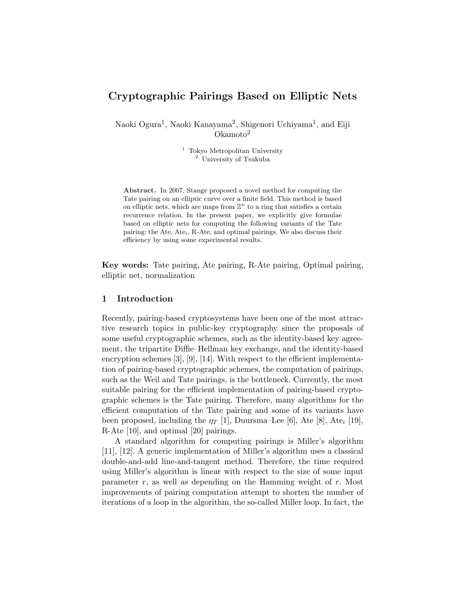# Cryptographic Pairings Based on Elliptic Nets

Naoki Ogura<sup>1</sup>, Naoki Kanayama<sup>2</sup>, Shigenori Uchiyama<sup>1</sup>, and Eiji Okamoto<sup>2</sup>

> <sup>1</sup> Tokyo Metropolitan University <sup>2</sup> University of Tsukuba

Abstract. In 2007, Stange proposed a novel method for computing the Tate pairing on an elliptic curve over a finite field. This method is based on elliptic nets, which are maps from  $\mathbb{Z}^n$  to a ring that satisfies a certain recurrence relation. In the present paper, we explicitly give formulae based on elliptic nets for computing the following variants of the Tate pairing: the Ate, Ate<sub>i</sub>, R-Ate, and optimal pairings. We also discuss their efficiency by using some experimental results.

Key words: Tate pairing, Ate pairing, R-Ate pairing, Optimal pairing, elliptic net, normalization

# 1 Introduction

Recently, pairing-based cryptosystems have been one of the most attractive research topics in public-key cryptography since the proposals of some useful cryptographic schemes, such as the identity-based key agreement, the tripartite Diffie–Hellman key exchange, and the identity-based encryption schemes [3], [9], [14]. With respect to the efficient implementation of pairing-based cryptographic schemes, the computation of pairings, such as the Weil and Tate pairings, is the bottleneck. Currently, the most suitable pairing for the efficient implementation of pairing-based cryptographic schemes is the Tate pairing. Therefore, many algorithms for the efficient computation of the Tate pairing and some of its variants have been proposed, including the  $\eta_T$  [1], Duursma–Lee [6], Ate [8], Ate<sub>i</sub> [19], R-Ate [10], and optimal [20] pairings.

A standard algorithm for computing pairings is Miller's algorithm [11], [12]. A generic implementation of Miller's algorithm uses a classical double-and-add line-and-tangent method. Therefore, the time required using Miller's algorithm is linear with respect to the size of some input parameter  $r$ , as well as depending on the Hamming weight of  $r$ . Most improvements of pairing computation attempt to shorten the number of iterations of a loop in the algorithm, the so-called Miller loop. In fact, the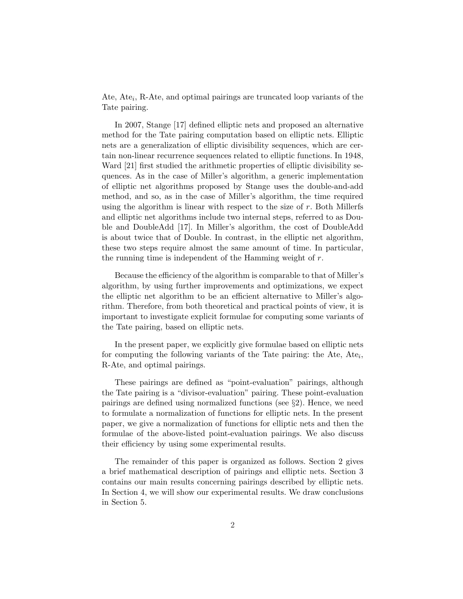Ate, Ate<sub>i</sub>, R-Ate, and optimal pairings are truncated loop variants of the Tate pairing.

In 2007, Stange [17] defined elliptic nets and proposed an alternative method for the Tate pairing computation based on elliptic nets. Elliptic nets are a generalization of elliptic divisibility sequences, which are certain non-linear recurrence sequences related to elliptic functions. In 1948, Ward [21] first studied the arithmetic properties of elliptic divisibility sequences. As in the case of Miller's algorithm, a generic implementation of elliptic net algorithms proposed by Stange uses the double-and-add method, and so, as in the case of Miller's algorithm, the time required using the algorithm is linear with respect to the size of  $r$ . Both Millerfs and elliptic net algorithms include two internal steps, referred to as Double and DoubleAdd [17]. In Miller's algorithm, the cost of DoubleAdd is about twice that of Double. In contrast, in the elliptic net algorithm, these two steps require almost the same amount of time. In particular, the running time is independent of the Hamming weight of r.

Because the efficiency of the algorithm is comparable to that of Miller's algorithm, by using further improvements and optimizations, we expect the elliptic net algorithm to be an efficient alternative to Miller's algorithm. Therefore, from both theoretical and practical points of view, it is important to investigate explicit formulae for computing some variants of the Tate pairing, based on elliptic nets.

In the present paper, we explicitly give formulae based on elliptic nets for computing the following variants of the Tate pairing: the Ate,  $Ate_i$ , R-Ate, and optimal pairings.

These pairings are defined as "point-evaluation" pairings, although the Tate pairing is a "divisor-evaluation" pairing. These point-evaluation pairings are defined using normalized functions (see §2). Hence, we need to formulate a normalization of functions for elliptic nets. In the present paper, we give a normalization of functions for elliptic nets and then the formulae of the above-listed point-evaluation pairings. We also discuss their efficiency by using some experimental results.

The remainder of this paper is organized as follows. Section 2 gives a brief mathematical description of pairings and elliptic nets. Section 3 contains our main results concerning pairings described by elliptic nets. In Section 4, we will show our experimental results. We draw conclusions in Section 5.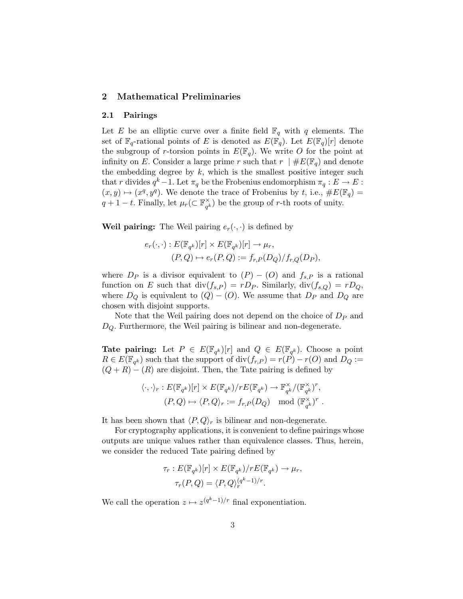## 2 Mathematical Preliminaries

#### 2.1 Pairings

Let E be an elliptic curve over a finite field  $\mathbb{F}_q$  with q elements. The set of  $\mathbb{F}_q$ -rational points of E is denoted as  $E(\mathbb{F}_q)$ . Let  $E(\mathbb{F}_q)[r]$  denote the subgroup of r-torsion points in  $E(\mathbb{F}_q)$ . We write O for the point at infinity on E. Consider a large prime r such that  $r \mid \#E(\mathbb{F}_q)$  and denote the embedding degree by  $k$ , which is the smallest positive integer such that r divides  $q^k-1$ . Let  $\pi_q$  be the Frobenius endomorphism  $\pi_q: E \to E$ :  $(x, y) \mapsto (x^q, y^q)$ . We denote the trace of Frobenius by t, i.e.,  $\#E(\mathbb{F}_q)$  =  $q + 1 - t$ . Finally, let  $\mu_r$ ( $\subset \mathbb{F}_{\alpha}^{\times}$  $\chi_{q^k}^{\times}$ ) be the group of r-th roots of unity.

**Weil pairing:** The Weil pairing  $e_r(\cdot, \cdot)$  is defined by

$$
e_r(\cdot, \cdot) : E(\mathbb{F}_{q^k})[r] \times E(\mathbb{F}_{q^k})[r] \to \mu_r,
$$
  

$$
(P, Q) \mapsto e_r(P, Q) := f_{r,P}(D_Q)/f_{r,Q}(D_P),
$$

where  $D_P$  is a divisor equivalent to  $(P) - (O)$  and  $f_{s,P}$  is a rational function on E such that  $\text{div}(f_{s,P}) = rD_P$ . Similarly,  $\text{div}(f_{s,Q}) = rD_Q$ , where  $D_Q$  is equivalent to  $(Q) - (O)$ . We assume that  $D_P$  and  $D_Q$  are chosen with disjoint supports.

Note that the Weil pairing does not depend on the choice of  $D_P$  and  $D_Q$ . Furthermore, the Weil pairing is bilinear and non-degenerate.

**Tate pairing:** Let  $P \in E(\mathbb{F}_{q^k})[r]$  and  $Q \in E(\mathbb{F}_{q^k})$ . Choose a point  $R \in E(\mathbb{F}_{q^k})$  such that the support of  $\text{div}(f_{r,P}) = r(P) - r(O)$  and  $D_Q :=$  $(Q + R) - (R)$  are disjoint. Then, the Tate pairing is defined by

$$
\langle \cdot, \cdot \rangle_r : E(\mathbb{F}_{q^k})[r] \times E(\mathbb{F}_{q^k})/rE(\mathbb{F}_{q^k}) \to \mathbb{F}_{q^k}^{\times}/(\mathbb{F}_{q^k}^{\times})^r,
$$
  

$$
(P, Q) \mapsto \langle P, Q \rangle_r := f_{r,P}(D_Q) \mod (\mathbb{F}_{q^k}^{\times})^r.
$$

It has been shown that  $\langle P, Q \rangle_r$  is bilinear and non-degenerate.

For cryptography applications, it is convenient to define pairings whose outputs are unique values rather than equivalence classes. Thus, herein, we consider the reduced Tate pairing defined by

$$
\tau_r : E(\mathbb{F}_{q^k})[r] \times E(\mathbb{F}_{q^k})/rE(\mathbb{F}_{q^k}) \to \mu_r,
$$
  

$$
\tau_r(P,Q) = \langle P,Q \rangle_r^{(q^k-1)/r}.
$$

We call the operation  $z \mapsto z^{(q^k-1)/r}$  final exponentiation.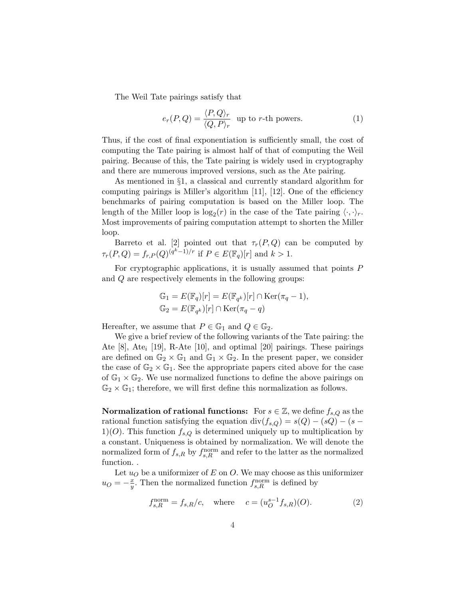The Weil Tate pairings satisfy that

$$
e_r(P,Q) = \frac{\langle P,Q\rangle_r}{\langle Q,P\rangle_r} \text{ up to } r\text{-th powers.}
$$
 (1)

Thus, if the cost of final exponentiation is sufficiently small, the cost of computing the Tate pairing is almost half of that of computing the Weil pairing. Because of this, the Tate pairing is widely used in cryptography and there are numerous improved versions, such as the Ate pairing.

As mentioned in §1, a classical and currently standard algorithm for computing pairings is Miller's algorithm [11], [12]. One of the efficiency benchmarks of pairing computation is based on the Miller loop. The length of the Miller loop is  $\log_2(r)$  in the case of the Tate pairing  $\langle \cdot, \cdot \rangle_r$ . Most improvements of pairing computation attempt to shorten the Miller loop.

Barreto et al. [2] pointed out that  $\tau_r(P, Q)$  can be computed by  $\tau_r(P,Q) = f_{r,P}(Q)^{(q^k-1)/r}$  if  $P \in E(\mathbb{F}_q)[r]$  and  $k > 1$ .

For cryptographic applications, it is usually assumed that points P and Q are respectively elements in the following groups:

$$
\mathbb{G}_1 = E(\mathbb{F}_q)[r] = E(\mathbb{F}_{q^k})[r] \cap \text{Ker}(\pi_q - 1),
$$
  

$$
\mathbb{G}_2 = E(\mathbb{F}_{q^k})[r] \cap \text{Ker}(\pi_q - q)
$$

Hereafter, we assume that  $P \in \mathbb{G}_1$  and  $Q \in \mathbb{G}_2$ .

We give a brief review of the following variants of the Tate pairing: the Ate  $[8]$ , Ate<sub>i</sub>  $[19]$ , R-Ate  $[10]$ , and optimal  $[20]$  pairings. These pairings are defined on  $\mathbb{G}_2 \times \mathbb{G}_1$  and  $\mathbb{G}_1 \times \mathbb{G}_2$ . In the present paper, we consider the case of  $\mathbb{G}_2 \times \mathbb{G}_1$ . See the appropriate papers cited above for the case of  $\mathbb{G}_1 \times \mathbb{G}_2$ . We use normalized functions to define the above pairings on  $\mathbb{G}_2 \times \mathbb{G}_1$ ; therefore, we will first define this normalization as follows.

**Normalization of rational functions:** For  $s \in \mathbb{Z}$ , we define  $f_{s,Q}$  as the rational function satisfying the equation div( $f_{s,Q}$ ) =  $s(Q) - (sQ) - (s -$ 1)(O). This function  $f_{s,Q}$  is determined uniquely up to multiplication by a constant. Uniqueness is obtained by normalization. We will denote the normalized form of  $f_{s,R}$  by  $f_{s,R}^{\text{norm}}$  and refer to the latter as the normalized function. .

Let  $u<sub>O</sub>$  be a uniformizer of E on O. We may choose as this uniformizer  $u_O = -\frac{x}{y}$  $\frac{x}{y}$ . Then the normalized function  $f_{s,R}^{\text{norm}}$  is defined by

$$
f_{s,R}^{\text{norm}} = f_{s,R}/c, \quad \text{where} \quad c = (u_O^{s-1} f_{s,R})(O). \tag{2}
$$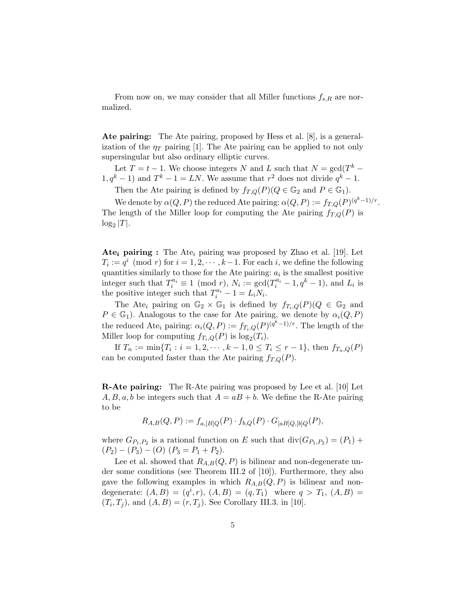From now on, we may consider that all Miller functions  $f_{s,R}$  are normalized.

Ate pairing: The Ate pairing, proposed by Hess et al. [8], is a generalization of the  $\eta_T$  pairing [1]. The Ate pairing can be applied to not only supersingular but also ordinary elliptic curves.

Let  $T = t - 1$ . We choose integers N and L such that  $N = \text{gcd}(T^k 1, q^k - 1$  and  $T^k - 1 = LN$ . We assume that  $r^2$  does not divide  $q^k - 1$ .

Then the Ate pairing is defined by  $f_{T,Q}(P)(Q \in \mathbb{G}_2$  and  $P \in \mathbb{G}_1$ .

We denote by  $\alpha(Q, P)$  the reduced Ate pairing:  $\alpha(Q, P) := f_{T,Q}(P)^{(q^k-1)/r}$ . The length of the Miller loop for computing the Ate pairing  $f_{T,Q}(P)$  is  $log_2 |T|$ .

**Ate<sub>i</sub> pairing :** The Ate<sub>i</sub> pairing was proposed by Zhao et al. [19]. Let  $T_i := q^i \pmod{r}$  for  $i = 1, 2, \dots, k-1$ . For each i, we define the following quantities similarly to those for the Ate pairing:  $a_i$  is the smallest positive integer such that  $T_i^{a_i} \equiv 1 \pmod{r}$ ,  $N_i := \gcd(T_i^{a_i} - 1, q^k - 1)$ , and  $L_i$  is the positive integer such that  $T_i^{a_i} - 1 = L_i N_i$ .

The Ate<sub>i</sub> pairing on  $\mathbb{G}_2 \times \mathbb{G}_1$  is defined by  $f_{T_i,Q}(P)(Q \in \mathbb{G}_2$  and  $P \in \mathbb{G}_1$ ). Analogous to the case for Ate pairing, we denote by  $\alpha_i(Q, P)$ the reduced Ate<sub>i</sub> pairing:  $\alpha_i(Q, P) := f_{T_i, Q}(P)^{(q^k-1)/r}$ . The length of the Miller loop for computing  $f_{T_i,Q}(P)$  is  $\log_2(T_i)$ .

If  $T_n := \min\{T_i : i = 1, 2, \dots, k - 1, 0 \le T_i \le r - 1\}$ , then  $f_{T_n,Q}(P)$ can be computed faster than the Ate pairing  $f_{T,Q}(P)$ .

R-Ate pairing: The R-Ate pairing was proposed by Lee et al. [10] Let  $A, B, a, b$  be integers such that  $A = aB + b$ . We define the R-Ate pairing to be

$$
R_{A,B}(Q,P) := f_{a, [B]Q}(P) \cdot f_{b,Q}(P) \cdot G_{[aB]Q,[b]Q}(P),
$$

where  $G_{P_1,P_2}$  is a rational function on E such that  $\text{div}(G_{P_1,P_2}) = (P_1) +$  $(P_2) - (P_3) - (O) (P_3 = P_1 + P_2).$ 

Lee et al. showed that  $R_{A,B}(Q, P)$  is bilinear and non-degenerate under some conditions (see Theorem III.2 of [10]). Furthermore, they also gave the following examples in which  $R_{A,B}(Q, P)$  is bilinear and nondegenerate:  $(A, B) = (q^i, r), (A, B) = (q, T_1)$  where  $q > T_1, (A, B) =$  $(T_i, T_j)$ , and  $(A, B) = (r, T_j)$ . See Corollary III.3. in [10].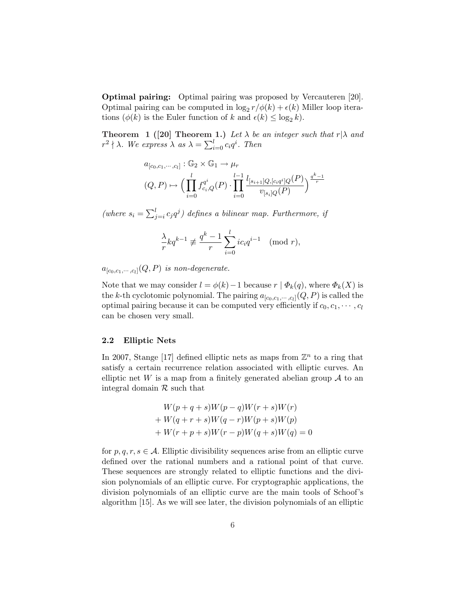Optimal pairing: Optimal pairing was proposed by Vercauteren [20]. Optimal pairing can be computed in  $\log_2 r/\phi(k) + \epsilon(k)$  Miller loop iterations  $(\phi(k)$  is the Euler function of k and  $\epsilon(k) \leq \log_2 k$ .

**Theorem 1** ([20] Theorem 1.) Let  $\lambda$  be an integer such that  $r|\lambda$  and **Theorem 1** (20) **Theorem**<br> $r^2 \nmid \lambda$ . We express  $\lambda$  as  $\lambda = \sum_{i=1}^{l}$  $_{i=0}^l c_i q^i$ . Then

$$
a_{[c_0,c_1,\dots,c_l]}: \mathbb{G}_2 \times \mathbb{G}_1 \to \mu_r
$$
  

$$
(Q,P) \mapsto \Big(\prod_{i=0}^l f_{c_i,Q}^{q^i}(P) \cdot \prod_{i=0}^{l-1} \frac{l_{[s_{i+1}]Q,[c_iq^i]Q}(P)}{v_{[s_i]Q}(P)}\Big)^{\frac{q^k-1}{r}}
$$

(where  $s_i = \sum_{i=1}^{l}$  $\sum_{j=i}^{l} c_j q^j$ ) defines a bilinear map. Furthermore, if

$$
\frac{\lambda}{r}kq^{k-1} \not\equiv \frac{q^k-1}{r}\sum_{i=0}^l ic_iq^{i-1} \pmod{r},
$$

 $a_{[c_0,c_1,\cdots ,c_l]}(Q,P)$  is non-degenerate.

Note that we may consider  $l = \phi(k) - 1$  because  $r | \Phi_k(q)$ , where  $\Phi_k(X)$  is the k-th cyclotomic polynomial. The pairing  $a_{[c_0,c_1,\cdots,c_l]}(Q,P)$  is called the optimal pairing because it can be computed very efficiently if  $c_0, c_1, \cdots, c_l$ can be chosen very small.

# 2.2 Elliptic Nets

In 2007, Stange [17] defined elliptic nets as maps from  $\mathbb{Z}^n$  to a ring that satisfy a certain recurrence relation associated with elliptic curves. An elliptic net W is a map from a finitely generated abelian group  $A$  to an integral domain  $\mathcal R$  such that

$$
W(p+q+s)W(p-q)W(r+s)W(r)
$$
  
+
$$
W(q+r+s)W(q-r)W(p+s)W(p)
$$
  
+
$$
W(r+p+s)W(r-p)W(q+s)W(q) = 0
$$

for  $p, q, r, s \in \mathcal{A}$ . Elliptic divisibility sequences arise from an elliptic curve defined over the rational numbers and a rational point of that curve. These sequences are strongly related to elliptic functions and the division polynomials of an elliptic curve. For cryptographic applications, the division polynomials of an elliptic curve are the main tools of Schoof's algorithm [15]. As we will see later, the division polynomials of an elliptic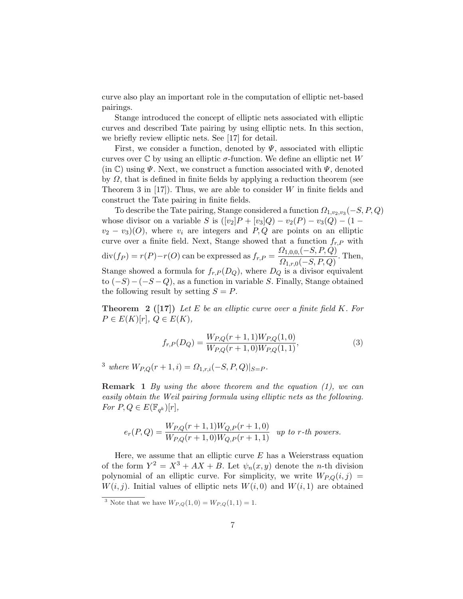curve also play an important role in the computation of elliptic net-based pairings.

Stange introduced the concept of elliptic nets associated with elliptic curves and described Tate pairing by using elliptic nets. In this section, we briefly review elliptic nets. See [17] for detail.

First, we consider a function, denoted by  $\Psi$ , associated with elliptic curves over  $\mathbb C$  by using an elliptic  $\sigma$ -function. We define an elliptic net W (in  $\mathbb{C}$ ) using  $\Psi$ . Next, we construct a function associated with  $\Psi$ , denoted by  $\Omega$ , that is defined in finite fields by applying a reduction theorem (see Theorem 3 in  $[17]$ . Thus, we are able to consider W in finite fields and construct the Tate pairing in finite fields.

To describe the Tate pairing, Stange considered a function  $\Omega_{1,v_2,v_3}(-S,P,Q)$ whose divisor on a variable S is  $([v_2]P + [v_3]Q) - v_2(P) - v_3(Q) - (1$  $v_2 - v_3$ (O), where  $v_i$  are integers and P, Q are points on an elliptic curve over a finite field. Next, Stange showed that a function  $f_{r,P}$  with  $div(f_P) = r(P) - r(O)$  can be expressed as  $f_{r,P} = \frac{\Omega_{1,0,0}(-S,P,Q)}{O(S,P,Q)}$  $\frac{1}{S_{1,r,0}(-S,P,Q)}$ . Then, Stange showed a formula for  $f_{r,P}(D_Q)$ , where  $D_Q$  is a divisor equivalent to  $(-S) - (-S - Q)$ , as a function in variable S. Finally, Stange obtained the following result by setting  $S = P$ .

**Theorem 2** ([17]) Let E be an elliptic curve over a finite field K. For  $P \in E(K)[r], Q \in E(K),$ 

$$
f_{r,P}(D_Q) = \frac{W_{P,Q}(r+1,1)W_{P,Q}(1,0)}{W_{P,Q}(r+1,0)W_{P,Q}(1,1)},
$$
\n(3)

<sup>3</sup> where  $W_{P,Q}(r+1,i) = \Omega_{1,r,i}(-S,P,Q)|_{S=P}$ .

**Remark** 1 By using the above theorem and the equation  $(1)$ , we can easily obtain the Weil pairing formula using elliptic nets as the following. For  $P, Q \in E(\mathbb{F}_{q^k})[r],$ 

$$
e_r(P,Q) = \frac{W_{P,Q}(r+1,1)W_{Q,P}(r+1,0)}{W_{P,Q}(r+1,0)W_{Q,P}(r+1,1)} \quad \text{up to } r\text{-th powers.}
$$

Here, we assume that an elliptic curve  $E$  has a Weierstrass equation of the form  $Y^2 = X^3 + AX + B$ . Let  $\psi_n(x, y)$  denote the *n*-th division polynomial of an elliptic curve. For simplicity, we write  $W_{P,Q}(i, j) =$  $W(i, j)$ . Initial values of elliptic nets  $W(i, 0)$  and  $W(i, 1)$  are obtained

<sup>&</sup>lt;sup>3</sup> Note that we have  $W_{P,Q}(1,0) = W_{P,Q}(1,1) = 1$ .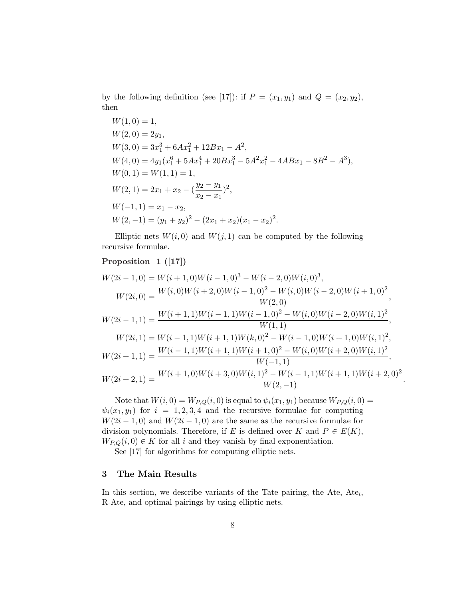by the following definition (see [17]): if  $P = (x_1, y_1)$  and  $Q = (x_2, y_2)$ , then

$$
W(1,0) = 1,
$$
  
\n
$$
W(2,0) = 2y_1,
$$
  
\n
$$
W(3,0) = 3x_1^3 + 6Ax_1^2 + 12Bx_1 - A^2,
$$
  
\n
$$
W(4,0) = 4y_1(x_1^6 + 5Ax_1^4 + 20Bx_1^3 - 5A^2x_1^2 - 4ABx_1 - 8B^2 - A^3),
$$
  
\n
$$
W(0,1) = W(1,1) = 1,
$$
  
\n
$$
W(2,1) = 2x_1 + x_2 - (\frac{y_2 - y_1}{x_2 - x_1})^2,
$$
  
\n
$$
W(-1,1) = x_1 - x_2,
$$
  
\n
$$
W(2,-1) = (y_1 + y_2)^2 - (2x_1 + x_2)(x_1 - x_2)^2.
$$

Elliptic nets  $W(i, 0)$  and  $W(j, 1)$  can be computed by the following recursive formulae.

# Proposition 1 ([17])

$$
W(2i-1,0) = W(i+1,0)W(i-1,0)^3 - W(i-2,0)W(i,0)^3,
$$
  
\n
$$
W(2i,0) = \frac{W(i,0)W(i+2,0)W(i-1,0)^2 - W(i,0)W(i-2,0)W(i+1,0)^2}{W(2,0)},
$$
  
\n
$$
W(2i-1,1) = \frac{W(i+1,1)W(i-1,1)W(i-1,0)^2 - W(i,0)W(i-2,0)W(i,1)^2}{W(1,1)},
$$
  
\n
$$
W(2i,1) = W(i-1,1)W(i+1,1)W(k,0)^2 - W(i-1,0)W(i+1,0)W(i,1)^2,
$$
  
\n
$$
W(2i+1,1) = \frac{W(i-1,1)W(i+1,1)W(i+1,0)^2 - W(i,0)W(i+2,0)W(i,1)^2}{W(-1,1)},
$$
  
\n
$$
W(2i+2,1) = \frac{W(i+1,0)W(i+3,0)W(i,1)^2 - W(i-1,1)W(i+1,1)W(i+2,0)^2}{W(2,-1)}.
$$

Note that  $W(i, 0) = W_{P,Q}(i, 0)$  is equal to  $\psi_i(x_1, y_1)$  because  $W_{P,Q}(i, 0)$  =  $\psi_i(x_1, y_1)$  for  $i = 1, 2, 3, 4$  and the recursive formulae for computing  $W(2i-1,0)$  and  $W(2i-1,0)$  are the same as the recursive formulae for division polynomials. Therefore, if E is defined over K and  $P \in E(K)$ ,  $W_{P,Q}(i,0) \in K$  for all i and they vanish by final exponentiation.

See [17] for algorithms for computing elliptic nets.

# 3 The Main Results

In this section, we describe variants of the Tate pairing, the Ate,  $Ate_i$ , R-Ate, and optimal pairings by using elliptic nets.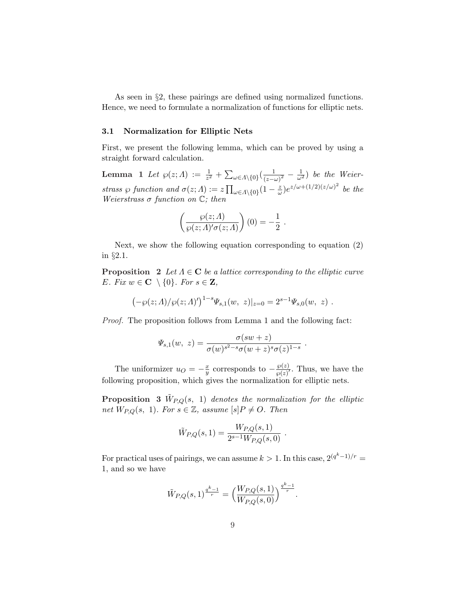As seen in §2, these pairings are defined using normalized functions. Hence, we need to formulate a normalization of functions for elliptic nets.

#### 3.1 Normalization for Elliptic Nets

First, we present the following lemma, which can be proved by using a straight forward calculation.

**Lemma** 1 Let  $\wp(z; \Lambda) := \frac{1}{z^2} +$  $\overline{ }$  $\omega \in A \setminus \{0\}$   $\left(\frac{1}{(z-a)^2}\right)$  $\frac{1}{(z-\omega)^2} - \frac{1}{\omega^2}$ ) be the Weierstrass  $\wp$  function and  $\sigma(z; \Lambda) := z$  $\overline{\phantom{a}}$  $\omega \in A \setminus \{0\}$  $\left(1 - \frac{z}{\omega}\right)$  $(\frac{z}{\omega})e^{z/\omega+(1/2)(z/\omega)^2}$  be the Weierstrass  $\sigma$  function on  $\mathbb{C}$ ; then

$$
\left(\frac{\wp(z; \Lambda)}{\wp(z; \Lambda)' \sigma(z; \Lambda)}\right)(0) = -\frac{1}{2} .
$$

Next, we show the following equation corresponding to equation (2) in §2.1.

**Proposition** 2 Let  $\Lambda \in \mathbb{C}$  be a lattice corresponding to the elliptic curve E. Fix  $w \in \mathbf{C} \setminus \{0\}$ . For  $s \in \mathbf{Z}$ ,

$$
(-\wp(z; \Lambda)/\wp(z; \Lambda)')^{1-s}\Psi_{s,1}(w, z)|_{z=0} = 2^{s-1}\Psi_{s,0}(w, z) .
$$

Proof. The proposition follows from Lemma 1 and the following fact:

$$
\Psi_{s,1}(w, z) = \frac{\sigma(sw + z)}{\sigma(w)^{s^2 - s} \sigma(w + z)^s \sigma(z)^{1-s}}.
$$

The uniformizer  $u_O = -\frac{x}{y}$  $\frac{x}{y}$  corresponds to  $-\frac{\wp(z)}{\wp(z)}$  $\frac{\wp(z)}{\wp(z)}$ . Thus, we have the following proposition, which gives the normalization for elliptic nets.

**Proposition** 3  $\tilde{W}_{P,Q}(s, 1)$  denotes the normalization for the elliptic net  $W_{P,Q}(s, 1)$ . For  $s \in \mathbb{Z}$ , assume  $[s]P \neq O$ . Then

$$
\tilde{W}_{P,Q}(s,1) = \frac{W_{P,Q}(s,1)}{2^{s-1}W_{P,Q}(s,0)}.
$$

For practical uses of pairings, we can assume  $k > 1$ . In this case,  $2^{(q^k-1)/r} =$ 1, and so we have

$$
\tilde{W}_{P,Q}(s,1)^{\frac{q^k-1}{r}} = \Big(\frac{W_{P,Q}(s,1)}{W_{P,Q}(s,0)}\Big)^{\frac{q^k-1}{r}}.
$$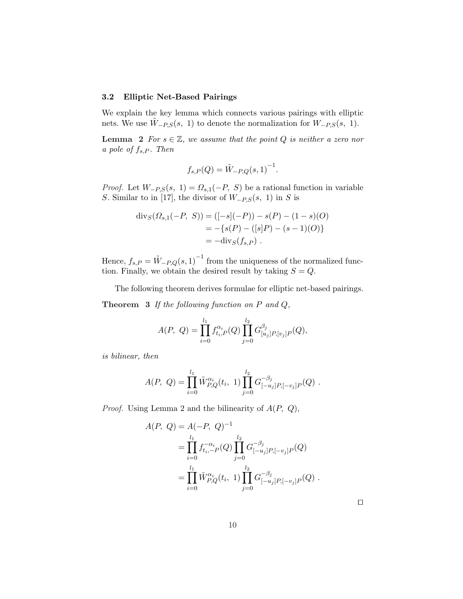## 3.2 Elliptic Net-Based Pairings

We explain the key lemma which connects various pairings with elliptic nets. We use  $W_{-P,S}(s, 1)$  to denote the normalization for  $W_{-P,S}(s, 1)$ .

**Lemma** 2 For  $s \in \mathbb{Z}$ , we assume that the point Q is neither a zero nor a pole of  $f_{s,P}$ . Then

$$
f_{s,P}(Q) = \tilde{W}_{-P,Q}(s,1)^{-1}.
$$

*Proof.* Let  $W_{-P,S}(s, 1) = \Omega_{s,1}(-P, S)$  be a rational function in variable S. Similar to in [17], the divisor of  $W_{-P,S}(s, 1)$  in S is

$$
\text{div}_S(\Omega_{s,1}(-P, S)) = ([-s](-P)) - s(P) - (1 - s)(O)
$$
  
= -{s(P) - ([s]P) - (s - 1)(O)}  
= -\text{div}\_S(f\_{s,P}).

Hence,  $f_{s,P} = \tilde{W}_{-P,Q}(s,1)^{-1}$  from the uniqueness of the normalized function. Finally, we obtain the desired result by taking  $S = Q$ .

The following theorem derives formulae for elliptic net-based pairings.

**Theorem 3** If the following function on  $P$  and  $Q$ ,

$$
A(P, Q) = \prod_{i=0}^{l_1} f_{t_i, P}^{\alpha_i}(Q) \prod_{j=0}^{l_2} G_{[u_j]P,[v_j]P}^{\beta_j}(Q),
$$

is bilinear, then

$$
A(P, Q) = \prod_{i=0}^{l_1} \tilde{W}_{P,Q}^{\alpha_i}(t_i, 1) \prod_{j=0}^{l_2} G_{[-u_j]P, [-v_j]P}^{-\beta_j}(Q) .
$$

*Proof.* Using Lemma 2 and the bilinearity of  $A(P, Q)$ ,

$$
A(P, Q) = A(-P, Q)^{-1}
$$
  
= 
$$
\prod_{i=0}^{l_1} f_{t_i, -P}^{-\alpha_i}(Q) \prod_{j=0}^{l_2} G_{[-u_j]P, [-v_j]P}^{-\beta_j}(Q)
$$
  
= 
$$
\prod_{i=0}^{l_1} \tilde{W}_{P,Q}^{\alpha_i}(t_i, 1) \prod_{j=0}^{l_2} G_{[-u_j]P, [-v_j]P}^{-\beta_j}(Q) .
$$

 $\Box$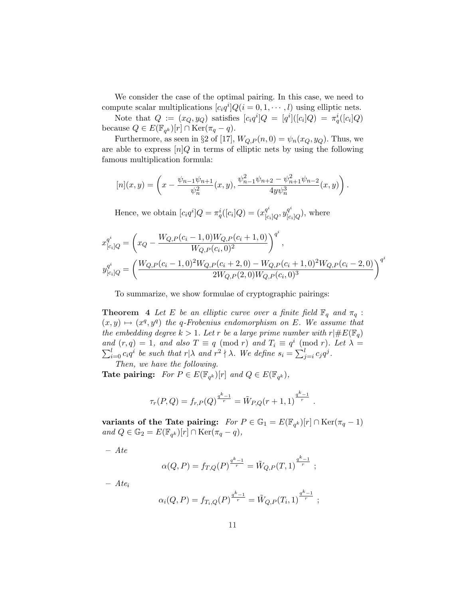We consider the case of the optimal pairing. In this case, we need to compute scalar multiplications  $[c_i q^i] Q (i = 0, 1, \dots, l)$  using elliptic nets.

Note that  $Q := (x_Q, y_Q)$  satisfies  $[c_i q^i] Q = [q^i] ([c_i] Q) = \pi_q^i ([c_i] Q)$ because  $Q \in E(\mathbb{F}_{q^k})[r] \cap \text{Ker}(\pi_q - q)$ .

Furthermore, as seen in §2 of [17],  $W_{Q,P}(n,0) = \psi_n(x_Q, y_Q)$ . Thus, we are able to express  $[n]Q$  in terms of elliptic nets by using the following famous multiplication formula:

$$
[n](x,y) = \left(x - \frac{\psi_{n-1}\psi_{n+1}}{\psi_n^2}(x,y), \frac{\psi_{n-1}^2\psi_{n+2} - \psi_{n+1}^2\psi_{n-2}}{4y\psi_n^3}(x,y)\right).
$$

Hence, we obtain  $[c_i q^i] Q = \pi_q^i([c_i] Q) = (x_{[c_i]}^{q^i})$  $[q^i_{[c_i]}_Q, y^{q^i}_{[c]}]$  $\binom{q^r}{[c_i]Q}$ , where

$$
x_{[c_i]Q}^{q^i} = \left(x_Q - \frac{W_{Q,P}(c_i - 1,0)W_{Q,P}(c_i + 1,0)}{W_{Q,P}(c_i,0)^2}\right)^{q^i},
$$
  

$$
y_{[c_i]Q}^{q^i} = \left(\frac{W_{Q,P}(c_i - 1,0)^2 W_{Q,P}(c_i + 2,0) - W_{Q,P}(c_i + 1,0)^2 W_{Q,P}(c_i - 2,0)}{2W_{Q,P}(2,0)W_{Q,P}(c_i,0)^3}\right)^{q^i}
$$

To summarize, we show formulae of cryptographic pairings:

**Theorem 4** Let E be an elliptic curve over a finite field  $\mathbb{F}_q$  and  $\pi_q$ :  $(x, y) \mapsto (x^q, y^q)$  the q-Frobenius endomorphism on E. We assume that the embedding degree  $k > 1$ . Let r be a large prime number with  $r \mid \#E(\mathbb{F}_q)$ and  $(r, q) = 1$ , and also  $T \equiv q \pmod{r}$  and  $T_i \equiv q^i \pmod{r}$ . Let  $\lambda = \sum_{i=0}^l c_i q^i$  be such that  $r | \lambda$  and  $r^2 \nmid \lambda$ . We define  $s_i = \sum_{j=i}^l c_j q^j$ .  $_{j=i}^{l}c_{j}q^{j}.$ Then, we have the following.

Tate pairing:  $For P \in E(\mathbb{F}_{q^k})[r]$  and  $Q \in E(\mathbb{F}_{q^k})$ ,

$$
\tau_r(P,Q) = f_{r,P}(Q)^{\frac{q^k-1}{r}} = \tilde{W}_{P,Q}(r+1,1)^{\frac{q^k-1}{r}}.
$$

variants of the Tate pairing:  $For P \in \mathbb{G}_1 = E(\mathbb{F}_{q^k})[r] \cap \text{Ker}(\pi_q - 1)$ and  $Q \in \mathbb{G}_2 = E(\mathbb{F}_{q^k})[r] \cap \text{Ker}(\pi_q - q)$ ,

– Ate

$$
\alpha(Q, P) = f_{T,Q}(P)^{\frac{q^k - 1}{r}} = \tilde{W}_{Q,P}(T, 1)^{\frac{q^k - 1}{r}} ;
$$

 $-$  Ate<sub>i</sub>

$$
\alpha_i(Q, P) = f_{T_i, Q}(P)^{\frac{q^k - 1}{r}} = \tilde{W}_{Q, P}(T_i, 1)^{\frac{q^k - 1}{r}};
$$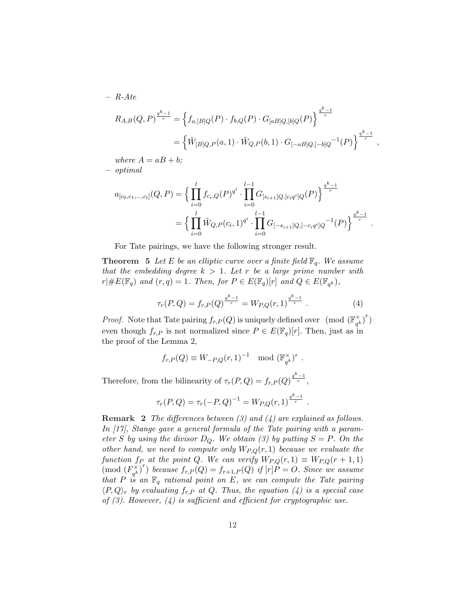$-$  R-Ate

$$
R_{A,B}(Q,P)^{\frac{q^k-1}{r}} = \left\{ f_{a,[B]Q}(P) \cdot f_{b,Q}(P) \cdot G_{[aB]Q,[b]Q}(P) \right\}^{\frac{q^k-1}{r}}
$$
  
= 
$$
\left\{ \tilde{W}_{[B]Q,P}(a,1) \cdot \tilde{W}_{Q,P}(b,1) \cdot G_{[-aB]Q,[-b]Q}^{-1}(P) \right\}^{\frac{q^k-1}{r}},
$$

where  $A = aB + b$ ; – optimal

$$
a_{[c_0,c_1,...,c_l]}(Q,P) = \Big\{ \prod_{i=0}^l f_{c_i,Q}(P)^{q^i} \cdot \prod_{i=0}^{l-1} G_{[s_{i+1}]}Q_{,[c_i q^i]Q}(P) \Big\}^{\frac{q^k-1}{r}}
$$
  
= 
$$
\Big\{ \prod_{i=0}^l \tilde{W}_{Q,P}(c_i,1)^{q^i} \cdot \prod_{i=0}^{l-1} G_{[-s_{i+1}]}Q_{,[-c_i q^i]Q}^{-1}(P) \Big\}^{\frac{q^k-1}{r}}
$$

For Tate pairings, we have the following stronger result.

**Theorem 5** Let E be an elliptic curve over a finite field  $\mathbb{F}_q$ . We assume that the embedding degree  $k > 1$ . Let r be a large prime number with  $r\vert \#E(\mathbb{F}_q)$  and  $(r,q)=1$ . Then, for  $P\in E(\mathbb{F}_q)[r]$  and  $Q\in E(\mathbb{F}_{q^k})$ ,

$$
\tau_r(P,Q) = f_{r,P}(Q)^{\frac{q^k-1}{r}} = W_{P,Q}(r,1)^{\frac{q^k-1}{r}}.
$$
\n(4)

.

*Proof.* Note that Tate pairing  $f_{r,P}(Q)$  is uniquely defined over (mod  $(\mathbb{F}_{q^k}^{\times})$  $(\frac{\times}{q^k})^r$ even though  $f_{r,P}$  is not normalized since  $P \in E(\mathbb{F}_q)[r]$ . Then, just as in the proof of the Lemma 2,

$$
f_{r,P}(Q) \equiv W_{-P,Q}(r,1)^{-1} \mod (\mathbb{F}_{q^k}^{\times})^r.
$$

Therefore, from the bilinearity of  $\tau_r(P,Q) = f_{r,P}(Q)^{\frac{q^k-1}{r}}$ ,

$$
\tau_r(P,Q) = \tau_r(-P,Q)^{-1} = W_{P,Q}(r,1)^{\frac{q^k-1}{r}}.
$$

**Remark 2** The differences between  $(3)$  and  $(4)$  are explained as follows. In [17], Stange gave a general formula of the Tate pairing with a parameter S by using the divisor  $D_Q$ . We obtain (3) by putting  $S = P$ . On the other hand, we need to compute only  $W_{P,Q}(r, 1)$  because we evaluate the function  $f_P$  at the point Q. We can verify  $W_{P,Q}(r,1) \equiv W_{P,Q}(r+1,1)$  $\pmod{F_{ck}^{\times}}$  $\left( \begin{array}{c} \sum_{q^k}^N r \\ q^k \end{array} \right)^r$  because  $f_{r,P}(Q) = f_{r+1,P}(Q)$  if  $[r]P = O$ . Since we assume that P is an  $\mathbb{F}_q$  rational point on E, we can compute the Tate pairing  $\langle P,Q\rangle_r$  by evaluating  $f_{r,P}$  at Q. Thus, the equation  $(4)$  is a special case of  $(3)$ . However,  $(4)$  is sufficient and efficient for cryptographic use.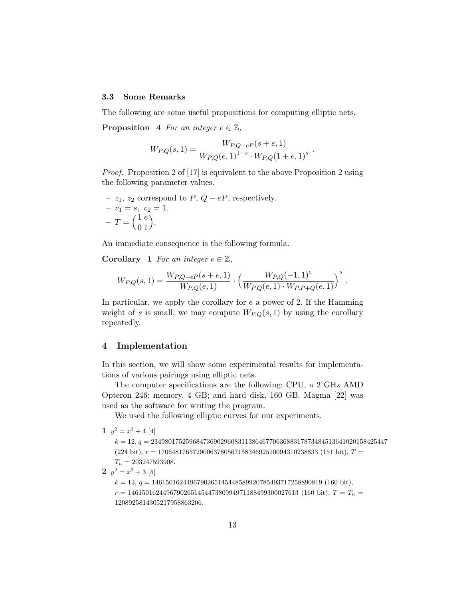## 3.3 Some Remarks

The following are some useful propositions for computing elliptic nets.

**Proposition** 4 For an integer  $e \in \mathbb{Z}$ ,

$$
W_{P,Q}(s,1) = \frac{W_{P,Q-eP}(s+e,1)}{W_{P,Q}(e,1)^{1-s} \cdot W_{P,Q}(1+e,1)^s}
$$

.

Proof. Proposition 2 of [17] is equivalent to the above Proposition 2 using the following parameter values.

- z<sub>1</sub>, z<sub>2</sub> correspond to *P*, *Q* – *eP*, respectively.  
\n- 
$$
v_1 = s
$$
,  $v_2 = 1$ .  
\n-  $T = \begin{pmatrix} 1 & e \\ 0 & 1 \end{pmatrix}$ .

An immediate consequence is the following formula.

Corollary 1 For an integer  $e \in \mathbb{Z}$ ,

$$
W_{P,Q}(s,1) = \frac{W_{P,Q-eP}(s+e,1)}{W_{P,Q}(e,1)} \cdot \left(\frac{W_{P,Q}(-1,1)^e}{W_{P,Q}(e,1) \cdot W_{P,P+Q}(e,1)}\right)^s.
$$

In particular, we apply the corollary for  $e$  a power of 2. If the Hamming weight of s is small, we may compute  $W_{P,Q}(s,1)$  by using the corollary repeatedly.

# 4 Implementation

In this section, we will show some experimental results for implementations of various pairings using elliptic nets.

The computer specifications are the following: CPU, a 2 GHz AMD Opteron 246; memory, 4 GB; and hard disk, 160 GB. Magma [22] was used as the software for writing the program.

We used the following elliptic curves for our experiments.

1  $y^2 = x^3 + 4$  [4]

 $k = 12, q = 23498017525968473690296083113864677063688317873484513641020158425447$  $(224 \text{ bit}), r = 1706481765729006378056715834692510094310238833 (151 \text{ bit}), T =$  $T_n = 203247593908.$ 

**2**  $y^2 = x^3 + 3$  [5]

 $k = 12$ ,  $q = 1461501624496790265145448589920785493717258890819$  (160 bit),

 $r = 1461501624496790265145447380994971188499300027613 (160 bit),$   $T = T_n$ 1208925814305217958863206.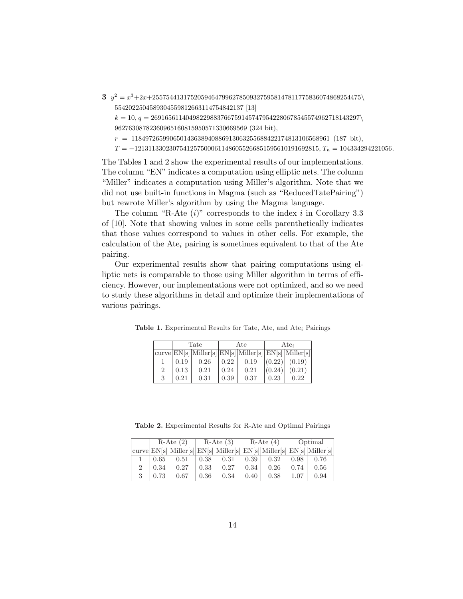$3\,y^2=x^3+2x+255754413175205946479962785093275958147811775836074868254475\backslash$ 5542022504589304559812663114754842137 [13]

 $k = 10, q = 269165611404982298837667591457479542280678545574962718143297\$ 96276308782360965160815950571330669569 (324 bit),

 $r = 118497265990650143638940886913063255688422174813106568961$  (187 bit),

 $T = -12131133023075412575000611486055266851595610191692815,$ <br> $T_n = 104334294221056.$ 

The Tables 1 and 2 show the experimental results of our implementations. The column "EN" indicates a computation using elliptic nets. The column "Miller" indicates a computation using Miller's algorithm. Note that we did not use built-in functions in Magma (such as "ReducedTatePairing") but rewrote Miller's algorithm by using the Magma language.

The column "R-Ate  $(i)$ " corresponds to the index i in Corollary 3.3 of [10]. Note that showing values in some cells parenthetically indicates that those values correspond to values in other cells. For example, the calculation of the Ate<sub>i</sub> pairing is sometimes equivalent to that of the Ate pairing.

Our experimental results show that pairing computations using elliptic nets is comparable to those using Miller algorithm in terms of efficiency. However, our implementations were not optimized, and so we need to study these algorithms in detail and optimize their implementations of various pairings.

|                | Tate |                                                       |      | Ate  | Ate <sub>i</sub> |        |  |
|----------------|------|-------------------------------------------------------|------|------|------------------|--------|--|
|                |      | curve EN[s] Miller[s] EN[s] Miller[s] EN[s] Miller[s] |      |      |                  |        |  |
|                | 0.19 | 0.26                                                  | 0.22 | 0.19 | (0.22)           | (0.19) |  |
| $\overline{2}$ | 0.13 | 0.21                                                  | 0.24 | 0.21 | (0.24)           | (0.21) |  |
| 3              | 0.21 | 0.31                                                  | 0.39 | 0.37 | 0.23             | 0.22   |  |

Table 1. Experimental Results for Tate, Ate, and Ate<sub>i</sub> Pairings

Table 2. Experimental Results for R-Ate and Optimal Pairings

| $R$ -Ate $(2)$ |                                                                                          | $R$ -Ate $(3)$ |      | $R$ -Ate $(4)$ |      | Optimal |      |
|----------------|------------------------------------------------------------------------------------------|----------------|------|----------------|------|---------|------|
|                | $[curve]EN[s]   Miller[s]   EN[s]   Miller[s]   EN[s]   Miller[s]   EN[s]   Miller[s]  $ |                |      |                |      |         |      |
| 0.65           | 0.51                                                                                     | 0.38           | 0.31 | 0.39           | 0.32 | 0.98    | 0.76 |
| 0.34           | 0.27                                                                                     | 0.33           | 0.27 | 0.34           | 0.26 | 0.74    | 0.56 |
| 0.73           | 0.67                                                                                     | 0.36           | 0.34 | 0.40           | 0.38 | 1.07    | 0.94 |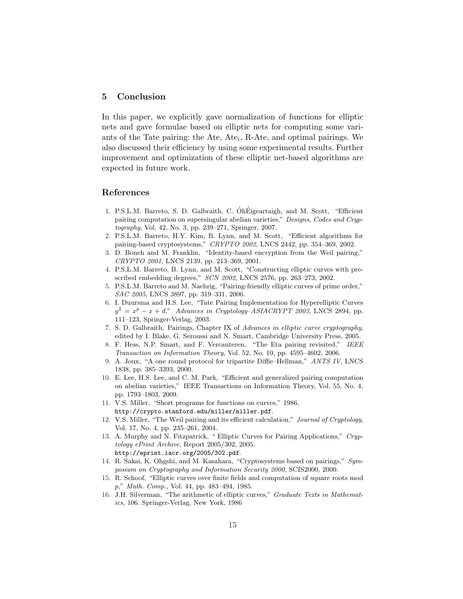# 5 Conclusion

In this paper, we explicitly gave normalization of functions for elliptic nets and gave formulae based on elliptic nets for computing some variants of the Tate pairing: the Ate,  $Ate_i$ , R-Ate, and optimal pairings. We also discussed their efficiency by using some experimental results. Further improvement and optimization of these elliptic net-based algorithms are expected in future work.

## References

- 1. P.S.L.M. Barreto, S. D. Galbraith, C. ÓhÉigeartaigh, and M. Scott, "Efficient pairing computation on supersingular abelian varieties," Designs, Codes and Cryptography, Vol. 42, No. 3, pp. 239–271, Springer, 2007.
- 2. P.S.L.M. Barreto, H.Y. Kim, B. Lynn, and M. Scott, "Efficient algorithms for pairing-based cryptosystems," CRYPTO 2002, LNCS 2442, pp. 354–369, 2002.
- 3. D. Boneh and M. Franklin, "Identity-based encryption from the Weil pairing," CRYPTO 2001, LNCS 2139, pp. 213–369, 2001.
- 4. P.S.L.M. Barreto, B. Lynn, and M. Scott, "Constructing elliptic curves with prescribed embedding degrees," SCN 2002, LNCS 2576, pp. 263–273, 2002.
- 5. P.S.L.M. Barreto and M. Naehrig, "Pairing-friendly elliptic curves of prime order," SAC 2005, LNCS 3897, pp. 319–331, 2006.
- 6. I. Duursma and H.S. Lee, "Tate Pairing Implementation for Hyperelliptic Curves  $y^2 = x^p - x + d$ ," Advances in Cryptology-ASIACRYPT 2003, LNCS 2894, pp. 111–123, Springer-Verlag, 2003.
- 7. S. D. Galbraith, Pairings, Chapter IX of Advances in elliptic curve cryptography, edited by I. Blake, G. Seroussi and N. Smart, Cambridge University Press, 2005.
- 8. F. Hess, N.P. Smart, and F. Vercauteren, "The Eta pairing revisited," IEEE Transaction on Information Theory, Vol. 52, No. 10, pp. 4595–4602, 2006.
- 9. A. Joux, "A one round protocol for tripartite Diffie–Hellman," ANTS IV, LNCS 1838, pp. 385–3393, 2000.
- 10. E. Lee, H.S. Lee, and C. M. Park, "Efficient and generalized pairing computation on abelian varieties," IEEE Transactions on Information Theory, Vol. 55, No. 4, pp. 1793–1803, 2009.
- 11. V.S. Miller, "Short programs for functions on curves," 1986. http://crypto.stanford.edu/miller/miller.pdf.
- 12. V.S. Miller, "The Weil pairing and its efficient calculation," Journal of Cryptology, Vol. 17, No. 4, pp. 235–261, 2004.
- 13. A. Murphy and N. Fitzpatrick, " Elliptic Curves for Pairing Applications," Cryptology ePrint Archive, Report 2005/302, 2005. http://eprint.iacr.org/2005/302.pdf.
- 14. R. Sakai, K. Ohgshi, and M. Kasahara, "Cryptosystems based on pairings," Symposium on Cryptography and Information Security 2000, SCIS2000, 2000.
- 15. R. Schoof, "Elliptic curves over finite fields and computation of square roots mod p," Math. Comp., Vol. 44, pp. 483–494, 1985.
- 16. J.H. Silverman, "The arithmetic of elliptic curves," Graduate Texts in Mathematics, 106. Springer-Verlag, New York, 1986